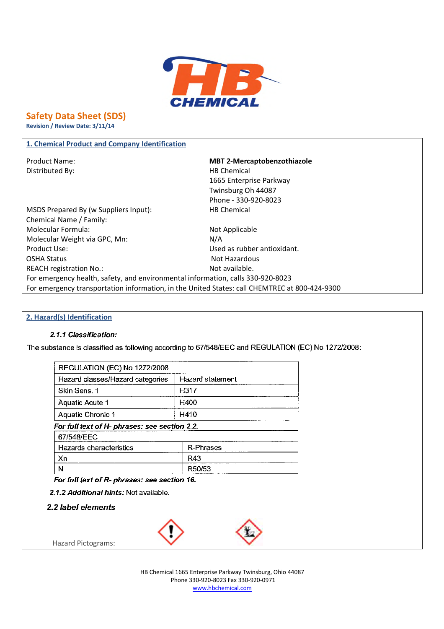

# **Safety Data Sheet (SDS)**

**Revision / Review Date: 3/11/14**

# **1. Chemical Product and Company Identification**

Distributed By: Notice and Separate Separate Separate Separate Separate Separate Separate Separate Separate Separate Separate Separate Separate Separate Separate Separate Separate Separate Separate Separate Separate Separa

Product Name: **MBT 2-Mercaptobenzothiazole** 1665 Enterprise Parkway Twinsburg Oh 44087 Phone - 330-920-8023

MSDS Prepared By (w Suppliers Input): HB Chemical Chemical Name / Family: Molecular Formula: Not Applicable Molecular Weight via GPC, Mn: N/A Product Use: Used as rubber antioxidant. OSHA Status Not Hazardous REACH registration No.: Not available. For emergency health, safety, and environmental information, calls 330-920-8023 For emergency transportation information, in the United States: call CHEMTREC at 800-424-9300

#### **2. Hazard(s) Identification**

#### 2.1.1 Classification:

The substance is classified as following according to 67/548/EEC and REGULATION (EC) No 1272/2008:

| <b>REGULATION (EC) No 1272/2008</b>           |                  |
|-----------------------------------------------|------------------|
| Hazard classes/Hazard categories              | Hazard statement |
| Skin Sens. 1                                  | H317             |
| Aquatic Acute 1                               | H400             |
| Aquatic Chronic 1                             | H410             |
| For full text of H- phrases: see section 2.2. |                  |
| 67/548/EEC                                    |                  |
| Hazards characteristics                       | R-Phrases        |
| Xn                                            | R43              |
| N                                             | R50/53           |

For full text of R- phrases: see section 16.

2.1.2 Additional hints: Not available.

2.2 label elements

Hazard Pictograms:



HB Chemical 1665 Enterprise Parkway Twinsburg, Ohio 44087 Phone 330-920-8023 Fax 330-920-0971 www.hbchemical.com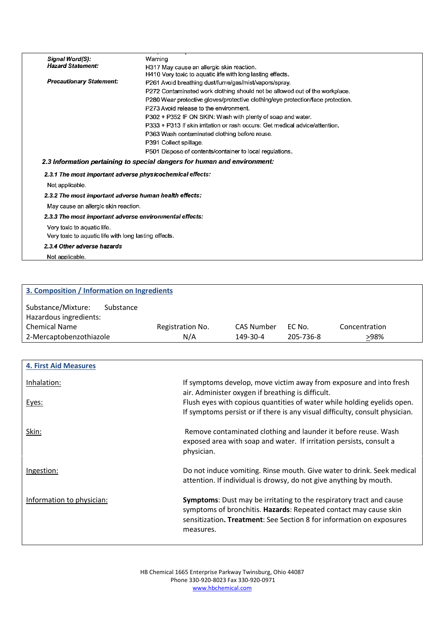| Signal Word(S):                                           | Warning                                                                         |
|-----------------------------------------------------------|---------------------------------------------------------------------------------|
| <b>Hazard Statement:</b>                                  | H317 May cause an allergic skin reaction.                                       |
|                                                           | H410 Very toxic to aquatic life with long lasting effects.                      |
| <b>Precautionary Statement:</b>                           | P261 Avoid breathing dust/fume/gas/mist/vapors/spray.                           |
|                                                           | P272 Contaminated work clothing should not be allowed out of the workplace.     |
|                                                           | P280 Wear protective gloves/protective clothing/eye protection/face protection. |
|                                                           | P273 Avoid release to the environment.                                          |
|                                                           | P302 + P352 IF ON SKIN: Wash with plenty of soap and water.                     |
|                                                           | P333 + P313 If skin irritation or rash occurs: Get medical advice/attention.    |
|                                                           | P363 Wash contaminated clothing before reuse.                                   |
|                                                           | P391 Collect spillage.                                                          |
|                                                           | P501 Dispose of contents/container to local regulations.                        |
|                                                           | 2.3 Information pertaining to special dangers for human and environment:        |
| 2.3.1 The most important adverse physicochemical effects: |                                                                                 |
| Not applicable.                                           |                                                                                 |
| 2.3.2 The most important adverse human health effects:    |                                                                                 |
| May cause an allergic skin reaction.                      |                                                                                 |
| 2.3.3 The most important adverse environmental effects:   |                                                                                 |
| Very toxic to aquatic life.                               |                                                                                 |
| Very toxic to aquatic life with long lasting effects.     |                                                                                 |
| 2.3.4 Other adverse hazards                               |                                                                                 |
| Not applicable.                                           |                                                                                 |

| 3. Composition / Information on Ingredients               |                  |                   |           |               |
|-----------------------------------------------------------|------------------|-------------------|-----------|---------------|
| Substance/Mixture:<br>Substance<br>Hazardous ingredients: |                  |                   |           |               |
| <b>Chemical Name</b>                                      | Registration No. | <b>CAS Number</b> | EC No.    | Concentration |
| 2-Mercaptobenzothiazole                                   | N/A              | 149-30-4          | 205-736-8 | >98%          |

| <b>4. First Aid Measures</b> |                                                                                                                                                                                                                                     |
|------------------------------|-------------------------------------------------------------------------------------------------------------------------------------------------------------------------------------------------------------------------------------|
| Inhalation:                  | If symptoms develop, move victim away from exposure and into fresh<br>air. Administer oxygen if breathing is difficult.                                                                                                             |
| Eyes:                        | Flush eyes with copious quantities of water while holding eyelids open.<br>If symptoms persist or if there is any visual difficulty, consult physician.                                                                             |
| Skin:                        | Remove contaminated clothing and launder it before reuse. Wash<br>exposed area with soap and water. If irritation persists, consult a<br>physician.                                                                                 |
| Ingestion:                   | Do not induce vomiting. Rinse mouth. Give water to drink. Seek medical<br>attention. If individual is drowsy, do not give anything by mouth.                                                                                        |
| Information to physician:    | <b>Symptoms:</b> Dust may be irritating to the respiratory tract and cause<br>symptoms of bronchitis. Hazards: Repeated contact may cause skin<br>sensitization. Treatment: See Section 8 for information on exposures<br>measures. |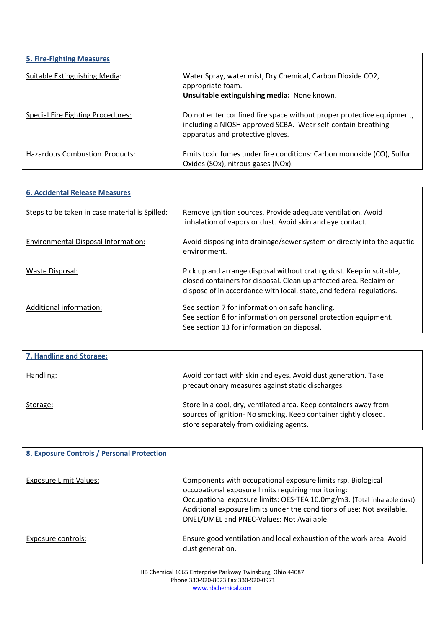| <b>5. Fire-Fighting Measures</b>  |                                                                                                                                                                           |
|-----------------------------------|---------------------------------------------------------------------------------------------------------------------------------------------------------------------------|
| Suitable Extinguishing Media:     | Water Spray, water mist, Dry Chemical, Carbon Dioxide CO2,<br>appropriate foam.<br>Unsuitable extinguishing media: None known.                                            |
| Special Fire Fighting Procedures: | Do not enter confined fire space without proper protective equipment,<br>including a NIOSH approved SCBA. Wear self-contain breathing<br>apparatus and protective gloves. |
| Hazardous Combustion Products:    | Emits toxic fumes under fire conditions: Carbon monoxide (CO), Sulfur<br>Oxides (SOx), nitrous gases (NOx).                                                               |

| <b>6. Accidental Release Measures</b>          |                                                                                                                                                                                                                    |
|------------------------------------------------|--------------------------------------------------------------------------------------------------------------------------------------------------------------------------------------------------------------------|
| Steps to be taken in case material is Spilled: | Remove ignition sources. Provide adequate ventilation. Avoid<br>inhalation of vapors or dust. Avoid skin and eye contact.                                                                                          |
| Environmental Disposal Information:            | Avoid disposing into drainage/sewer system or directly into the aquatic<br>environment.                                                                                                                            |
| Waste Disposal:                                | Pick up and arrange disposal without crating dust. Keep in suitable,<br>closed containers for disposal. Clean up affected area. Reclaim or<br>dispose of in accordance with local, state, and federal regulations. |
| Additional information:                        | See section 7 for information on safe handling.<br>See section 8 for information on personal protection equipment.<br>See section 13 for information on disposal.                                                  |

| 7. Handling and Storage: |                                                                                                                                                                                |
|--------------------------|--------------------------------------------------------------------------------------------------------------------------------------------------------------------------------|
| Handling:                | Avoid contact with skin and eyes. Avoid dust generation. Take<br>precautionary measures against static discharges.                                                             |
| Storage:                 | Store in a cool, dry, ventilated area. Keep containers away from<br>sources of ignition- No smoking. Keep container tightly closed.<br>store separately from oxidizing agents. |

| 8. Exposure Controls / Personal Protection |                                                                                                                                                                                                                                                                                                                      |
|--------------------------------------------|----------------------------------------------------------------------------------------------------------------------------------------------------------------------------------------------------------------------------------------------------------------------------------------------------------------------|
| Exposure Limit Values:                     | Components with occupational exposure limits rsp. Biological<br>occupational exposure limits requiring monitoring:<br>Occupational exposure limits: OES-TEA 10.0mg/m3. (Total inhalable dust)<br>Additional exposure limits under the conditions of use: Not available.<br>DNEL/DMEL and PNEC-Values: Not Available. |
| Exposure controls:                         | Ensure good ventilation and local exhaustion of the work area. Avoid<br>dust generation.                                                                                                                                                                                                                             |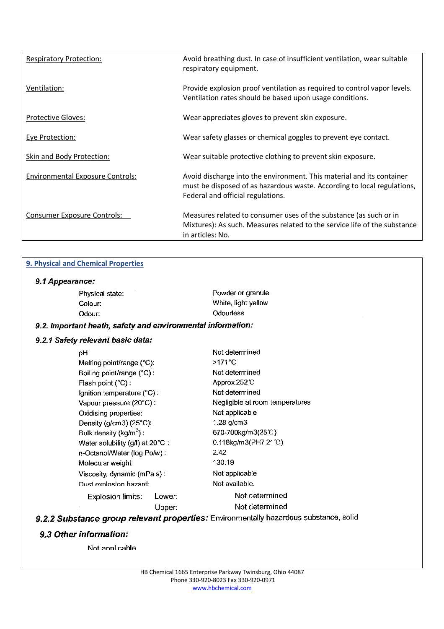| <b>Respiratory Protection:</b>          | Avoid breathing dust. In case of insufficient ventilation, wear suitable<br>respiratory equipment.                                                                                    |
|-----------------------------------------|---------------------------------------------------------------------------------------------------------------------------------------------------------------------------------------|
| Ventilation:                            | Provide explosion proof ventilation as required to control vapor levels.<br>Ventilation rates should be based upon usage conditions.                                                  |
| <b>Protective Gloves:</b>               | Wear appreciates gloves to prevent skin exposure.                                                                                                                                     |
| <b>Eye Protection:</b>                  | Wear safety glasses or chemical goggles to prevent eye contact.                                                                                                                       |
| Skin and Body Protection:               | Wear suitable protective clothing to prevent skin exposure.                                                                                                                           |
| <b>Environmental Exposure Controls:</b> | Avoid discharge into the environment. This material and its container<br>must be disposed of as hazardous waste. According to local regulations,<br>Federal and official regulations. |
| <b>Consumer Exposure Controls:</b>      | Measures related to consumer uses of the substance (as such or in<br>Mixtures): As such. Measures related to the service life of the substance<br>in articles: No.                    |

# **9. Physical and Chemical Properties**

## 9.1 Appearance:

| Physical state:                                             |        | Powder or granule               |
|-------------------------------------------------------------|--------|---------------------------------|
| Colour:                                                     |        | White, light yellow             |
| Odour:                                                      |        | Odourless                       |
| 9.2. Important heath, safety and environmental information: |        |                                 |
| 9.2.1 Safety relevant basic data:                           |        |                                 |
| pH:                                                         |        | Not determined                  |
| Melting point/range (°C):                                   |        | $>171^{\circ}$ C                |
| Boiling point/range (°C) :                                  |        | Not determined                  |
| Flash point (°C) :                                          |        | Approx 252 °C                   |
| Ignition temperature (°C) :                                 |        | Not determined                  |
| Vapour pressure (20°C) :                                    |        | Negligible at room temperatures |
| Oxidising properties:                                       |        | Not applicable                  |
| Density (g/cm3) (25°C):                                     |        | $1.28$ g/cm $3$                 |
| Bulk density (kg/m <sup>3</sup> ):                          |        | 670-700kg/m3(25°C)              |
| Water solubility (g/l) at 20°C:                             |        | 0.118kg/m3(PH7 21℃)             |
| n-Octanol/Water (log Po/w):                                 |        | 2.42                            |
| Molecular weight                                            |        | 130.19                          |
| Viscosity, dynamic (mPa s):                                 |        | Not applicable                  |
| Dust explosion bazard: .                                    |        | Not available.                  |
| Explosion limits:                                           | Lower: | Not determined                  |
|                                                             | Upper: | Not determined                  |
|                                                             |        |                                 |

nce, solid 9.2.2 Substance group relevant properties: Environmentally hazardous su

### 9.3 Other information:

Not applicable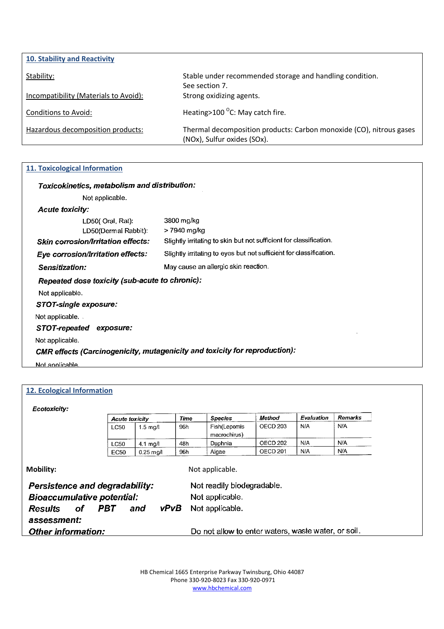| 10. Stability and Reactivity          |                                                                                                    |
|---------------------------------------|----------------------------------------------------------------------------------------------------|
| Stability:                            | Stable under recommended storage and handling condition.                                           |
|                                       | See section 7.                                                                                     |
| Incompatibility (Materials to Avoid): | Strong oxidizing agents.                                                                           |
| Conditions to Avoid:                  | Heating > 100 $^{\circ}$ C: May catch fire.                                                        |
| Hazardous decomposition products:     | Thermal decomposition products: Carbon monoxide (CO), nitrous gases<br>(NOx), Sulfur oxides (SOx). |

### **11. Toxicological Information**

| Toxicokinetics, metabolism and distribution:   |                                                                            |
|------------------------------------------------|----------------------------------------------------------------------------|
| Not applicable.                                |                                                                            |
| <b>Acute toxicity:</b>                         |                                                                            |
| LD50( Oral, Rat):                              | 3800 mg/kg                                                                 |
| LD50(Dermal Rabbit).                           | > 7940 mg/kg                                                               |
| <b>Skin corrosion/Irritation effects:</b>      | Slightly irritating to skin but not sufficient for classification.         |
| Eye corrosion/Irritation effects:              | Slightly irritating to eyes but not sufficient for classification.         |
| <b>Sensitization:</b>                          | May cause an allergic skin reaction.                                       |
| Repeated dose toxicity (sub-acute to chronic): |                                                                            |
| Not applicable.                                |                                                                            |
| <b>STOT-single exposure:</b>                   |                                                                            |
| Not applicable                                 |                                                                            |
| STOT-repeated exposure:                        |                                                                            |
| Not applicable.                                |                                                                            |
|                                                | CMR effects (Carcinogenicity, mutagenicity and toxicity for reproduction): |
| Not applicable.                                |                                                                            |

#### **12. Ecological Information**

Ecotoxicity:

|                                       | <b>Acute toxicity</b> |                    | Time | <b>Species</b>                                      | Method              | Evaluation | Remarks |  |
|---------------------------------------|-----------------------|--------------------|------|-----------------------------------------------------|---------------------|------------|---------|--|
|                                       | LC50                  | $1.5 \text{ mg/l}$ | 96h  | Fish(Lepomis<br>macrochirus)                        | OECD <sub>203</sub> | N/A        | N/A     |  |
|                                       | <b>LC50</b>           | $4.1 \text{ mg/l}$ | 48h  | Daphnia                                             | OECD <sub>202</sub> | N/A        | N/A     |  |
|                                       | <b>EC50</b>           | $0.25$ mg/l        | 96h  | Algae                                               | OECD <sub>201</sub> | N/A        | N/A     |  |
| <b>Persistence and degradability:</b> |                       |                    |      | Not readily biodegradable.                          |                     |            |         |  |
| <b>Bioaccumulative potential:</b>     |                       |                    |      | Not applicable.                                     |                     |            |         |  |
| <b>Results</b><br>of                  | PBT                   | vPvB<br>and        |      | Not applicable.                                     |                     |            |         |  |
| assessment:                           |                       |                    |      |                                                     |                     |            |         |  |
| <b>Other information:</b>             |                       |                    |      | Do not allow to enter waters, waste water, or soil. |                     |            |         |  |